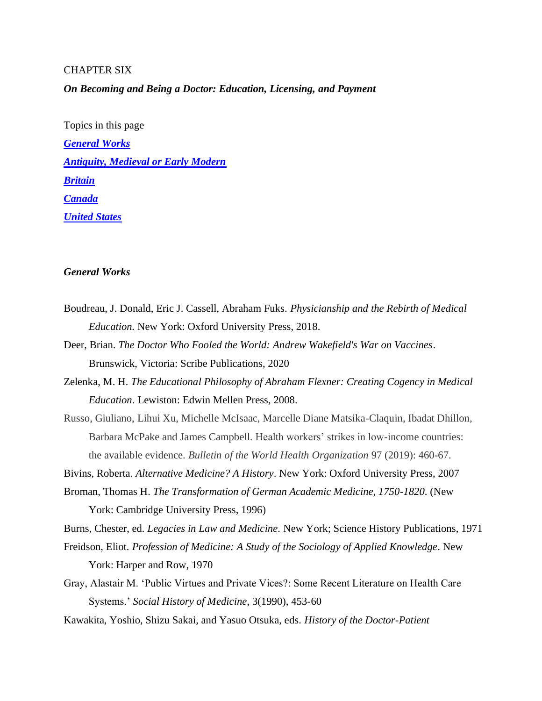# CHAPTER SIX

*On Becoming and Being a Doctor: Education, Licensing, and Payment*

Topics in this page *[General Works](#page-0-0) [Antiquity, Medieval or Early Modern](#page-1-0) [Britain](#page-2-0) [Canada](#page-3-0) [United States](#page-5-0)*

### <span id="page-0-0"></span>*General Works*

- Boudreau, J. Donald, Eric J. Cassell, Abraham Fuks. *Physicianship and the Rebirth of Medical Education.* New York: Oxford University Press, 2018.
- Deer, Brian. *The Doctor Who Fooled the World: Andrew Wakefield's War on Vaccines*. Brunswick, Victoria: Scribe Publications, 2020
- Zelenka, M. H. *The Educational Philosophy of Abraham Flexner: Creating Cogency in Medical Education*. Lewiston: Edwin Mellen Press, 2008.
- Russo, Giuliano, Lihui Xu, Michelle McIsaac, Marcelle Diane Matsika-Claquin, Ibadat Dhillon, Barbara McPake and James Campbell. Health workers' strikes in low-income countries: the available evidence. *Bulletin of the World Health Organization* 97 (2019): 460-67.

Bivins, Roberta. *Alternative Medicine? A History*. New York: Oxford University Press, 2007

Broman, Thomas H. *The Transformation of German Academic Medicine, 1750-1820*. (New York: Cambridge University Press, 1996)

Burns, Chester, ed. *Legacies in Law and Medicine*. New York; Science History Publications, 1971

- Freidson, Eliot. *Profession of Medicine: A Study of the Sociology of Applied Knowledge*. New York: Harper and Row, 1970
- Gray, Alastair M. 'Public Virtues and Private Vices?: Some Recent Literature on Health Care Systems.' *Social History of Medicine*, 3(1990), 453-60
- Kawakita, Yoshio, Shizu Sakai, and Yasuo Otsuka, eds. *History of the Doctor-Patient*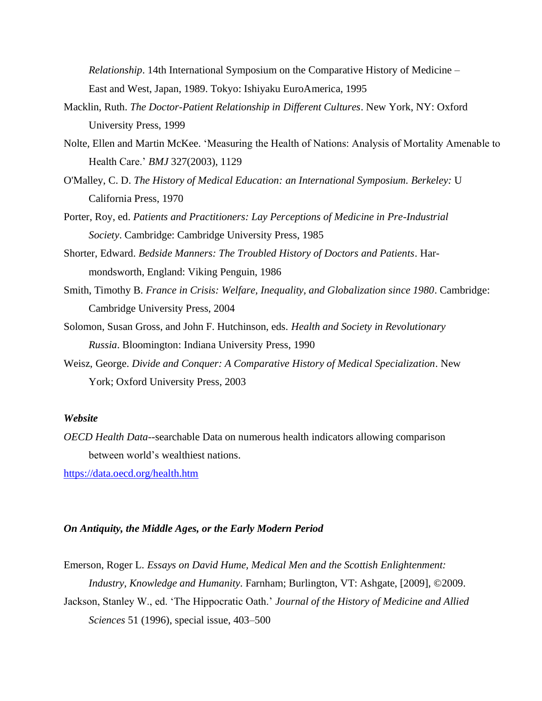*Relationship*. 14th International Symposium on the Comparative History of Medicine – East and West, Japan, 1989. Tokyo: Ishiyaku EuroAmerica, 1995

- Macklin, Ruth. *The Doctor-Patient Relationship in Different Cultures*. New York, NY: Oxford University Press, 1999
- Nolte, Ellen and Martin McKee. 'Measuring the Health of Nations: Analysis of Mortality Amenable to Health Care.' *BMJ* 327(2003), 1129
- O'Malley, C. D. *The History of Medical Education: an International Symposium. Berkeley:* U California Press, 1970
- Porter, Roy, ed. *Patients and Practitioners: Lay Perceptions of Medicine in Pre-Industrial Society*. Cambridge: Cambridge University Press, 1985
- Shorter, Edward. *Bedside Manners: The Troubled History of Doctors and Patients*. Harmondsworth, England: Viking Penguin, 1986
- Smith, Timothy B. *France in Crisis: Welfare, Inequality, and Globalization since 1980*. Cambridge: Cambridge University Press, 2004
- Solomon, Susan Gross, and John F. Hutchinson, eds. *Health and Society in Revolutionary Russia*. Bloomington: Indiana University Press, 1990
- Weisz, George. *Divide and Conquer: A Comparative History of Medical Specialization*. New York; Oxford University Press, 2003

## *Website*

*OECD Health Data*--searchable Data on numerous health indicators allowing comparison between world's wealthiest nations.

<https://data.oecd.org/health.htm>

### <span id="page-1-0"></span>*On Antiquity, the Middle Ages, or the Early Modern Period*

Emerson, Roger L. *Essays on David Hume, Medical Men and the Scottish Enlightenment: Industry, Knowledge and Humanity*. Farnham; Burlington, VT: Ashgate, [2009], ©2009.

Jackson, Stanley W., ed. 'The Hippocratic Oath.' *Journal of the History of Medicine and Allied Sciences* 51 (1996), special issue, 403–500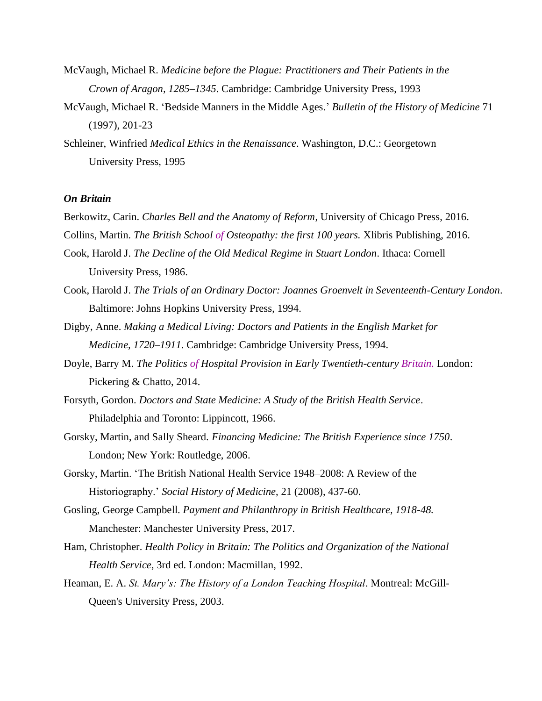- McVaugh, Michael R. *Medicine before the Plague: Practitioners and Their Patients in the Crown of Aragon, 1285–1345*. Cambridge: Cambridge University Press, 1993
- McVaugh, Michael R. 'Bedside Manners in the Middle Ages.' *Bulletin of the History of Medicine* 71 (1997), 201-23
- Schleiner, Winfried *Medical Ethics in the Renaissance*. Washington, D.C.: Georgetown University Press, 1995

#### <span id="page-2-0"></span>*On Britain*

- Berkowitz, Carin. *Charles Bell and the Anatomy of Reform*, University of Chicago Press, 2016.
- Collins, Martin. *The British School of Osteopathy: the first 100 years.* Xlibris Publishing, 2016.
- Cook, Harold J. *The Decline of the Old Medical Regime in Stuart London*. Ithaca: Cornell University Press, 1986.
- Cook, Harold J. *The Trials of an Ordinary Doctor: Joannes Groenvelt in Seventeenth-Century London*. Baltimore: Johns Hopkins University Press, 1994.
- Digby, Anne. *Making a Medical Living: Doctors and Patients in the English Market for Medicine, 1720–1911*. Cambridge: Cambridge University Press, 1994.
- Doyle, Barry M. *The Politics of Hospital Provision in Early Twentieth-century Britain.* London: Pickering & Chatto, 2014.
- Forsyth, Gordon. *Doctors and State Medicine: A Study of the British Health Service*. Philadelphia and Toronto: Lippincott, 1966.
- Gorsky, Martin, and Sally Sheard. *Financing Medicine: The British Experience since 1750*. London; New York: Routledge, 2006.
- Gorsky, Martin. 'The British National Health Service 1948–2008: A Review of the Historiography.' *Social History of Medicine*, 21 (2008), 437-60.
- Gosling, George Campbell. *Payment and Philanthropy in British Healthcare, 1918-48.* Manchester: Manchester University Press, 2017.
- Ham, Christopher. *Health Policy in Britain: The Politics and Organization of the National Health Service*, 3rd ed. London: Macmillan, 1992.
- Heaman, E. A. *St. Mary's: The History of a London Teaching Hospital*. Montreal: McGill-Queen's University Press, 2003.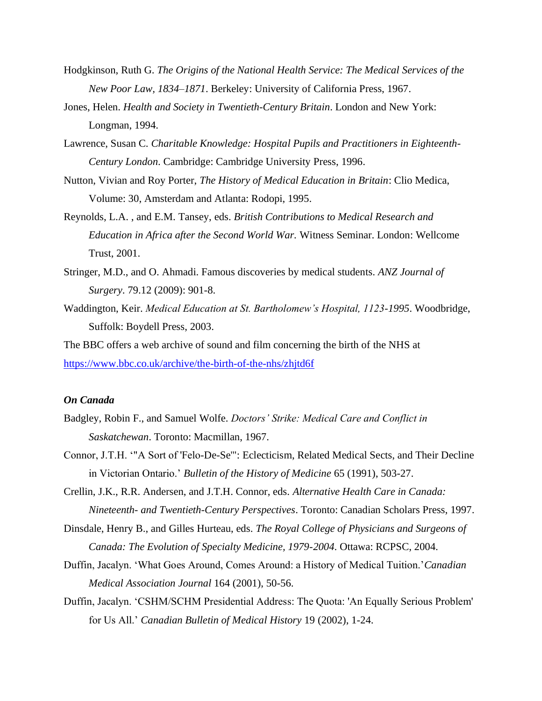- Hodgkinson, Ruth G. *The Origins of the National Health Service: The Medical Services of the New Poor Law, 1834–1871*. Berkeley: University of California Press, 1967.
- Jones, Helen. *Health and Society in Twentieth-Century Britain*. London and New York: Longman, 1994.
- Lawrence, Susan C. *Charitable Knowledge: Hospital Pupils and Practitioners in Eighteenth-Century London*. Cambridge: Cambridge University Press, 1996.
- Nutton, Vivian and Roy Porter, *The History of Medical Education in Britain*: Clio Medica, Volume: 30, Amsterdam and Atlanta: Rodopi, 1995.
- Reynolds, L.A. , and E.M. Tansey, eds. *British Contributions to Medical Research and Education in Africa after the Second World War.* Witness Seminar. London: Wellcome Trust, 2001.
- Stringer, M.D., and O. Ahmadi. Famous discoveries by medical students. *ANZ Journal of Surgery*. 79.12 (2009): 901-8.
- Waddington, Keir. *Medical Education at St. Bartholomew's Hospital, 1123-1995*. Woodbridge, Suffolk: Boydell Press, 2003.

The BBC offers a web archive of sound and film concerning the birth of the NHS at <https://www.bbc.co.uk/archive/the-birth-of-the-nhs/zhjtd6f>

# <span id="page-3-0"></span>*On Canada*

- Badgley, Robin F., and Samuel Wolfe. *Doctors' Strike: Medical Care and Conflict in Saskatchewan*. Toronto: Macmillan, 1967.
- Connor, J.T.H. '"A Sort of 'Felo-De-Se'": Eclecticism, Related Medical Sects, and Their Decline in Victorian Ontario.' *Bulletin of the History of Medicine* 65 (1991), 503-27.
- Crellin, J.K., R.R. Andersen, and J.T.H. Connor, eds. *Alternative Health Care in Canada: Nineteenth- and Twentieth-Century Perspectives*. Toronto: Canadian Scholars Press, 1997.
- Dinsdale, Henry B., and Gilles Hurteau, eds. *The Royal College of Physicians and Surgeons of Canada: The Evolution of Specialty Medicine, 1979-2004*. Ottawa: RCPSC, 2004.
- Duffin, Jacalyn. 'What Goes Around, Comes Around: a History of Medical Tuition.'*Canadian Medical Association Journal* 164 (2001), 50-56.
- Duffin, Jacalyn. 'CSHM/SCHM Presidential Address: The Quota: 'An Equally Serious Problem' for Us All.' *Canadian Bulletin of Medical History* 19 (2002), 1-24.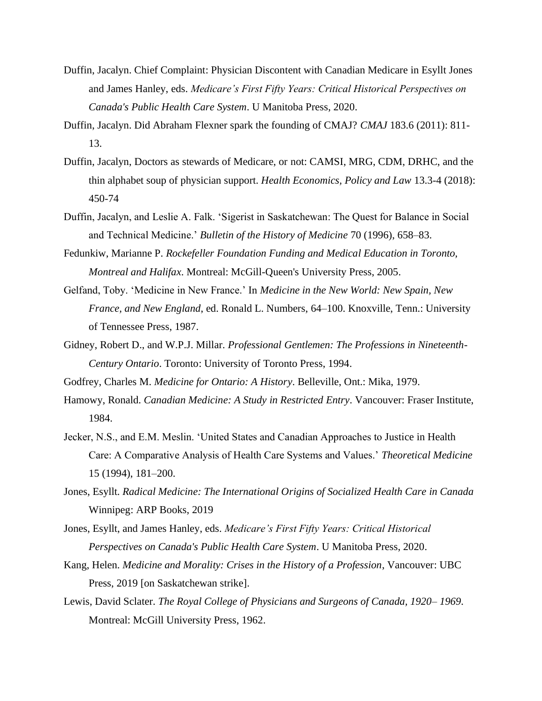- Duffin, Jacalyn. Chief Complaint: Physician Discontent with Canadian Medicare in Esyllt Jones and James Hanley, eds. *Medicare's First Fifty Years: Critical Historical Perspectives on Canada's Public Health Care System*. U Manitoba Press, 2020.
- Duffin, Jacalyn. Did Abraham Flexner spark the founding of CMAJ? *CMAJ* 183.6 (2011): 811- 13.
- Duffin, Jacalyn, Doctors as stewards of Medicare, or not: CAMSI, MRG, CDM, DRHC, and the thin alphabet soup of physician support. *Health Economics, Policy and Law* 13.3-4 (2018): 450-74
- Duffin, Jacalyn, and Leslie A. Falk. 'Sigerist in Saskatchewan: The Quest for Balance in Social and Technical Medicine.' *Bulletin of the History of Medicine* 70 (1996), 658–83.
- Fedunkiw, Marianne P. *Rockefeller Foundation Funding and Medical Education in Toronto, Montreal and Halifax*. Montreal: McGill-Queen's University Press, 2005.
- Gelfand, Toby. 'Medicine in New France.' In *Medicine in the New World: New Spain, New France, and New England*, ed. Ronald L. Numbers, 64–100. Knoxville, Tenn.: University of Tennessee Press, 1987.
- Gidney, Robert D., and W.P.J. Millar. *Professional Gentlemen: The Professions in Nineteenth-Century Ontario*. Toronto: University of Toronto Press, 1994.
- Godfrey, Charles M. *Medicine for Ontario: A History*. Belleville, Ont.: Mika, 1979.
- Hamowy, Ronald. *Canadian Medicine: A Study in Restricted Entry*. Vancouver: Fraser Institute, 1984.
- Jecker, N.S., and E.M. Meslin. 'United States and Canadian Approaches to Justice in Health Care: A Comparative Analysis of Health Care Systems and Values.' *Theoretical Medicine*  15 (1994), 181–200.
- Jones, Esyllt. *Radical Medicine: The International Origins of Socialized Health Care in Canada*  Winnipeg: ARP Books, 2019
- Jones, Esyllt, and James Hanley, eds. *Medicare's First Fifty Years: Critical Historical Perspectives on Canada's Public Health Care System*. U Manitoba Press, 2020.
- Kang, Helen. *Medicine and Morality: Crises in the History of a Profession*, Vancouver: UBC Press, 2019 [on Saskatchewan strike].
- Lewis, David Sclater. *The Royal College of Physicians and Surgeons of Canada, 1920– 1969*. Montreal: McGill University Press, 1962.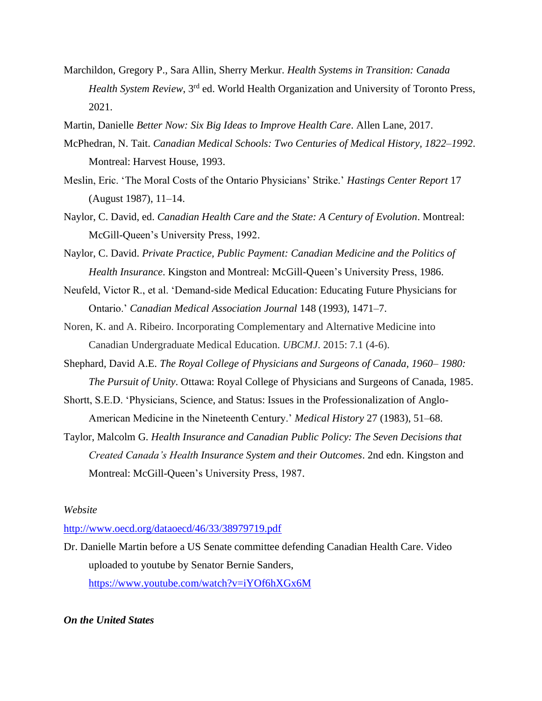- Marchildon, Gregory P., Sara Allin, Sherry Merkur. *Health Systems in Transition: Canada Health System Review*, 3rd ed. World Health Organization and University of Toronto Press, 2021.
- Martin, Danielle *Better Now: Six Big Ideas to Improve Health Care*. Allen Lane, 2017.
- McPhedran, N. Tait. *Canadian Medical Schools: Two Centuries of Medical History, 1822–1992*. Montreal: Harvest House, 1993.
- Meslin, Eric. 'The Moral Costs of the Ontario Physicians' Strike.' *Hastings Center Report* 17 (August 1987), 11–14.
- Naylor, C. David, ed. *Canadian Health Care and the State: A Century of Evolution*. Montreal: McGill-Queen's University Press, 1992.
- Naylor, C. David. *Private Practice, Public Payment: Canadian Medicine and the Politics of Health Insurance*. Kingston and Montreal: McGill-Queen's University Press, 1986.
- Neufeld, Victor R., et al. 'Demand-side Medical Education: Educating Future Physicians for Ontario.' *Canadian Medical Association Journal* 148 (1993), 1471–7.
- Noren, K. and A. Ribeiro. Incorporating Complementary and Alternative Medicine into Canadian Undergraduate Medical Education. *UBCMJ*. 2015: 7.1 (4-6).
- Shephard, David A.E. *The Royal College of Physicians and Surgeons of Canada, 1960– 1980: The Pursuit of Unity*. Ottawa: Royal College of Physicians and Surgeons of Canada, 1985.
- Shortt, S.E.D. 'Physicians, Science, and Status: Issues in the Professionalization of Anglo-American Medicine in the Nineteenth Century.' *Medical History* 27 (1983), 51–68.
- Taylor, Malcolm G. *Health Insurance and Canadian Public Policy: The Seven Decisions that Created Canada's Health Insurance System and their Outcomes*. 2nd edn. Kingston and Montreal: McGill-Queen's University Press, 1987.

### *Website*

<http://www.oecd.org/dataoecd/46/33/38979719.pdf>

Dr. Danielle Martin before a US Senate committee defending Canadian Health Care. Video uploaded to youtube by Senator Bernie Sanders, <https://www.youtube.com/watch?v=iYOf6hXGx6M>

## <span id="page-5-0"></span>*On the United States*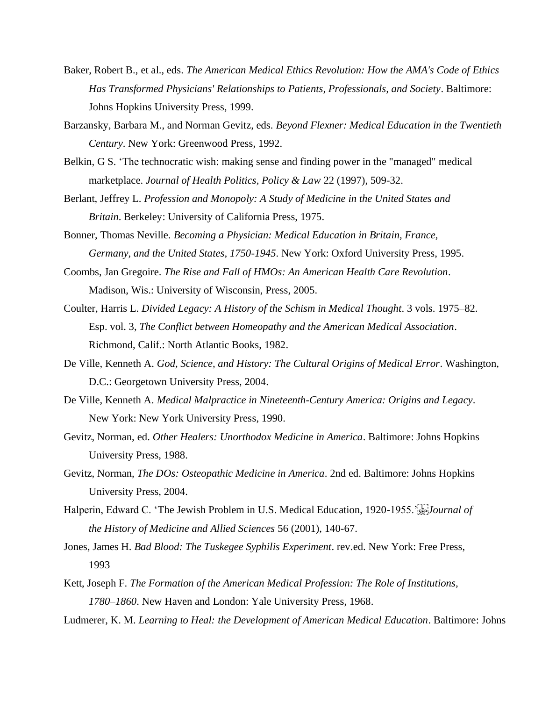- Baker, Robert B., et al., eds. *The American Medical Ethics Revolution: How the AMA's Code of Ethics Has Transformed Physicians' Relationships to Patients, Professionals, and Society*. Baltimore: Johns Hopkins University Press, 1999.
- Barzansky, Barbara M., and Norman Gevitz, eds. *Beyond Flexner: Medical Education in the Twentieth Century*. New York: Greenwood Press, 1992.
- Belkin, G S. 'The technocratic wish: making sense and finding power in the "managed" medical marketplace. *Journal of Health Politics, Policy & Law* 22 (1997), 509-32.
- Berlant, Jeffrey L. *Profession and Monopoly: A Study of Medicine in the United States and Britain*. Berkeley: University of California Press, 1975.
- Bonner, Thomas Neville. *Becoming a Physician: Medical Education in Britain, France, Germany, and the United States, 1750-1945*. New York: Oxford University Press, 1995.
- Coombs, Jan Gregoire. *The Rise and Fall of HMOs: An American Health Care Revolution*. Madison, Wis.: University of Wisconsin, Press, 2005.
- Coulter, Harris L. *Divided Legacy: A History of the Schism in Medical Thought*. 3 vols. 1975–82. Esp. vol. 3, *The Conflict between Homeopathy and the American Medical Association*. Richmond, Calif.: North Atlantic Books, 1982.
- De Ville, Kenneth A. *God, Science, and History: The Cultural Origins of Medical Error*. Washington, D.C.: Georgetown University Press, 2004.
- De Ville, Kenneth A. *Medical Malpractice in Nineteenth-Century America: Origins and Legacy*. New York: New York University Press, 1990.
- Gevitz, Norman, ed. *Other Healers: Unorthodox Medicine in America*. Baltimore: Johns Hopkins University Press, 1988.
- Gevitz, Norman, *The DOs: Osteopathic Medicine in America*. 2nd ed. Baltimore: Johns Hopkins University Press, 2004.
- Halperin, Edward C. 'The Jewish Problem in U.S. Medical Education, 1920-1955.'<sup>[1]</sup><sub>555</sub>*Journal of the History of Medicine and Allied Sciences* 56 (2001), 140-67.
- Jones, James H. *Bad Blood: The Tuskegee Syphilis Experiment*. rev.ed. New York: Free Press, 1993
- Kett, Joseph F. *The Formation of the American Medical Profession: The Role of Institutions, 1780–1860*. New Haven and London: Yale University Press, 1968.
- Ludmerer, K. M. *Learning to Heal: the Development of American Medical Education*. Baltimore: Johns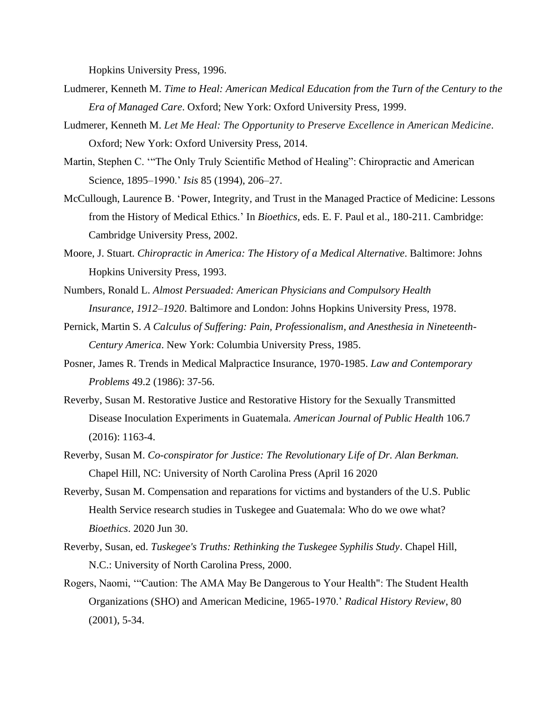Hopkins University Press, 1996.

- Ludmerer, Kenneth M. *Time to Heal: American Medical Education from the Turn of the Century to the Era of Managed Care*. Oxford; New York: Oxford University Press, 1999.
- Ludmerer, Kenneth M. *Let Me Heal: The Opportunity to Preserve Excellence in American Medicine*. Oxford; New York: Oxford University Press, 2014.
- Martin, Stephen C. '"The Only Truly Scientific Method of Healing": Chiropractic and American Science, 1895–1990.' *Isis* 85 (1994), 206–27.
- McCullough, Laurence B. 'Power, Integrity, and Trust in the Managed Practice of Medicine: Lessons from the History of Medical Ethics.' In *Bioethics*, eds. E. F. Paul et al., 180-211. Cambridge: Cambridge University Press, 2002.
- Moore, J. Stuart. *Chiropractic in America: The History of a Medical Alternative*. Baltimore: Johns Hopkins University Press, 1993.
- Numbers, Ronald L. *Almost Persuaded: American Physicians and Compulsory Health Insurance, 1912–1920*. Baltimore and London: Johns Hopkins University Press, 1978.
- Pernick, Martin S. *A Calculus of Suffering: Pain, Professionalism, and Anesthesia in Nineteenth-Century America*. New York: Columbia University Press, 1985.
- Posner, James R. Trends in Medical Malpractice Insurance, 1970-1985. *Law and Contemporary Problems* 49.2 (1986): 37-56.
- Reverby, Susan M. Restorative Justice and Restorative History for the Sexually Transmitted Disease Inoculation Experiments in Guatemala. *American Journal of Public Health* 106.7 (2016): 1163-4.
- Reverby, Susan M. *Co-conspirator for Justice: The Revolutionary Life of Dr. Alan Berkman.* Chapel Hill, NC: University of North Carolina Press (April 16 2020
- Reverby, Susan M. Compensation and reparations for victims and bystanders of the U.S. Public Health Service research studies in Tuskegee and Guatemala: Who do we owe what? *Bioethics*. 2020 Jun 30.
- Reverby, Susan, ed. *Tuskegee's Truths: Rethinking the Tuskegee Syphilis Study*. Chapel Hill, N.C.: University of North Carolina Press, 2000.
- Rogers, Naomi, '"Caution: The AMA May Be Dangerous to Your Health": The Student Health Organizations (SHO) and American Medicine, 1965-1970.' *[Radical History Review](http://muse.jhu.edu/journals/radical_history_review/toc/rhr80.1.html)*, 80 [\(2001\)](http://muse.jhu.edu/journals/radical_history_review/toc/rhr80.1.html), 5-34.